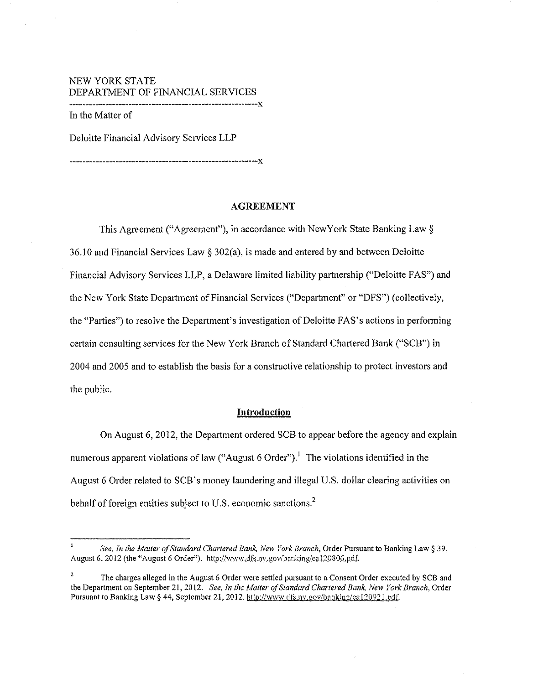NEW YORK STATE DEPARTMENT OF FINANCIAL SERVICES ---------------------------------------------------------)( In the Matter of

Deloitte Financial Advisory Services LLP

---------------------------------------------------------)(

### AGREEMENT

This Agreement ("Agreement"), in accordance with New York State Banking Law § 36.10 and Financial Services Law§ 302(a), is made and entered by and between Deloitte Financial Advisory Services LLP, a Delaware limited liability partnership ("Deloitte FAS") and the New York State Department of Financial Services ("Department" or "DFS") (collectively, the "Parties") to resolve the Department's investigation of Deloitte FAS's actions in performing certain consulting services for the New York Branch of Standard Chartered Bank ("SCB") in 2004 and 2005 and to establish the basis for a constructive relationship to protect investors and the public.

### Introduction

On August 6, 2012, the Department ordered SCB to appear before the agency and explain numerous apparent violations of law ("August 6 Order").<sup>1</sup> The violations identified in the August 6 Order related to SCB's money laundering and illegal U.S. dollar clearing activities on behalf of foreign entities subject to U.S. economic sanctions.<sup>2</sup>

*See, In the Matter ofStandard Chartered Bank, New York Branch,* Order Pursuant to Banking Law§ 39, August 6, 2012 (the "August 6 Order"). http://www.dfs.ny.gov/banking/ea120806.pdf.

The charges alleged in the August 6 Order were settled pursuant to a Consent Order executed by SCB and the Department on September 21, 2012. *See, In the Matter of Standard Chartered Bank, New York Branch*, Order **Pursuant to Banking Law§ 44, September 21, 2012.** htip://www.dtS.ny.gov/banking/eal20921.pdf.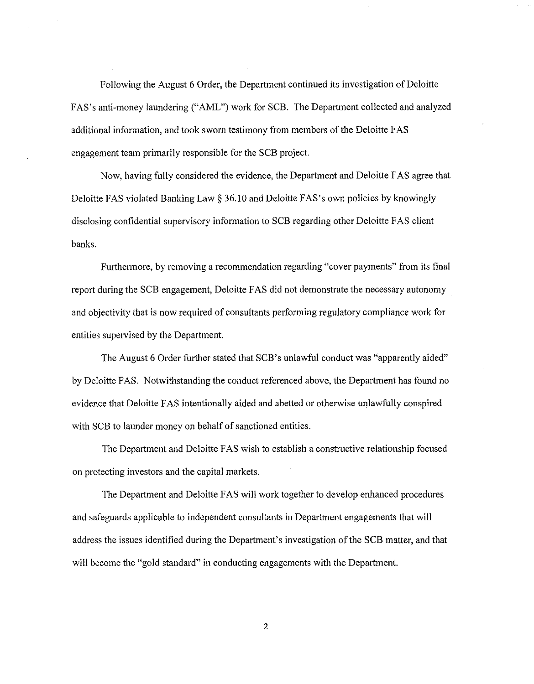Following the August 6 Order, the Department continued its investigation of Deloitte FAS's anti-money laundering ("AML") work for SCB. The Department collected and analyzed additional information, and took sworn testimony from members of the Deloitte FAS engagement team primarily responsible for the SCB project.

Now, having fully considered the evidence, the Department and Deloitte F AS agree that Deloitte FAS violated Banking Law§ 36.10 and Deloitte FAS's own policies by knowingly disclosing confidential supervisory information to SCB regarding other Deloitte FAS client banks.

Furthermore, by removing a recommendation regarding "cover payments" from its final report during the SCB engagement, Deloitte FAS did not demonstrate the necessary autonomy and objectivity that is now required of consultants performing regulatory compliance work for entities supervised by the Department.

The August 6 Order further stated that SCB's unlawful conduct was "apparently aided" by Deloitte FAS. Notwithstanding the conduct referenced above, the Department has found no evidence that Deloitte FAS intentionally aided and abetted or otherwise unlawfully conspired with SCB to launder money on behalf of sanctioned entities.

The Department and Deloitte FAS wish to establish a constructive relationship focused on protecting investors and the capital markets.

The Department and Deloitte FAS will work together to develop enhanced procedures and safeguards applicable to independent consultants in Department engagements that will address the issues identified during the Department's investigation of the SCB matter, and that will become the "gold standard" in conducting engagements with the Department.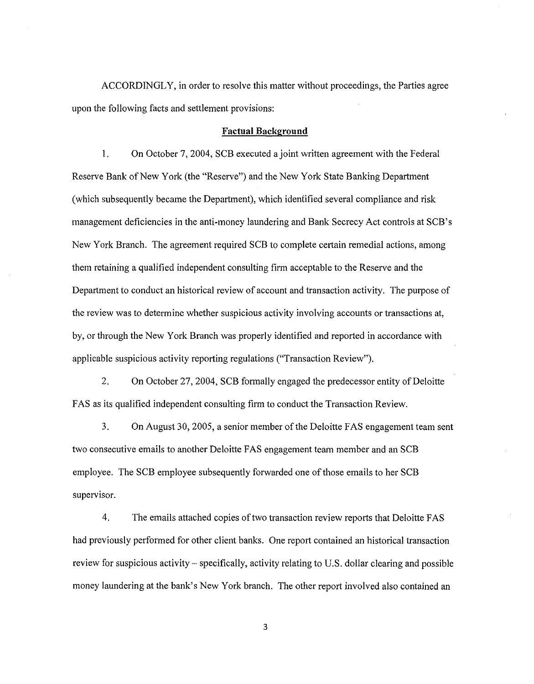ACCORDINGLY, in order to resolve this matter without proceedings, the Parties agree upon the following facts and settlement provisions:

#### **Factual Background**

I. On October 7, 2004, SCB executed a joint written agreement with the Federal Reserve Bank of New York (the "Reserve") and the New York State Banking Department (which subsequently became the Department), which identified several compliance and risk management deficiencies in the anti-money laundering and Bank Secrecy Act controls at SCB's New York Branch. The agreement required SCB to complete certain remedial actions, among them retaining a qualified independent consulting firm acceptable to the Reserve and the Department to conduct an historical review of account and transaction activity. The purpose of the review was to determine whether suspicious activity involving accounts or transactions at, by, or through the New York Branch was properly identified and reported in accordance with applicable suspicious activity reporting regulations ("Transaction Review").

2. On October 27, 2004, SCB formally engaged the predecessor entity of Deloitte PAS as its qualified independent consulting firm to conduct the Transaction Review.

3. On August 30, 2005, a senior member of the Deloitte FAS engagement team sent two consecutive emails to another Deloitte PAS engagement team member and an SCB employee. The SCB employee subsequently forwarded one of those emails to her SCB supervisor.

4. The emails attached copies of two transaction review reports that Deloitte PAS had previously performed for other client banks. One report contained an historical transaction review for suspicious activity- specifically, activity relating to U.S. dollar clearing and possible money laundering at the bank's New York branch. The other report involved also contained an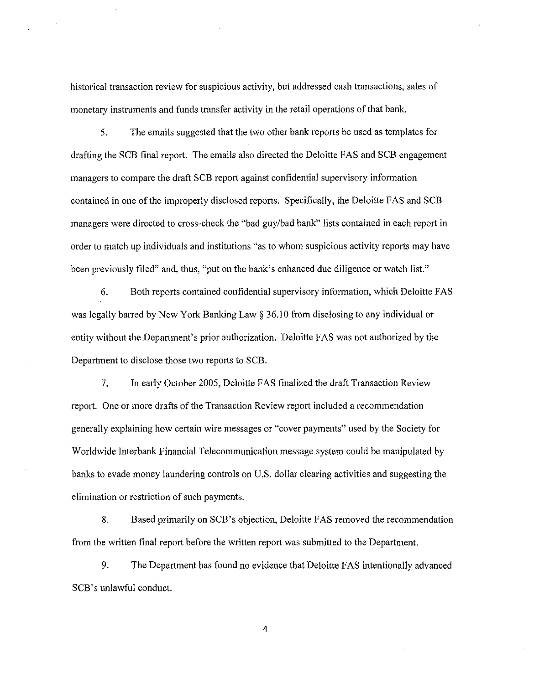historical transaction review for suspicious activity, but addressed cash transactions, sales of monetary instruments and funds transfer activity in the retail operations of that bank.

5. The emails suggested that the two other bank reports be used as templates for drafting the SCB final report. The emails also directed the Deloitte FAS and SCB engagement managers to compare the draft SCB report against confidential supervisory information contained in one of the improperly disclosed reports. Specifically, the Deloitte F AS and SCB managers were directed to cross-check the "bad guy/bad bank" lists contained in each report in order to match up individuals and institutions "as to whom suspicious activity reports may have been previously filed" and, thus, "put on the bank's enhanced due diligence or watch list."

6. Both reports contained confidential supervisory information, which Deloitte FAS was legally barred by New York Banking Law § 36.10 from disclosing to any individual or entity without the Department's prior authorization. Deloitte FAS was not authorized by the Department to disclose those two reports to SCB.

7. In early October 2005, Deloitte FAS finalized the draft Transaction Review report. One or more drafts of the Transaction Review report included a recommendation generally explaining how certain wire messages or "cover payments" used by the Society for Worldwide Interbank Financial Telecommunication message system could be manipulated by banks to evade money laundering controls on U.S. dollar clearing activities and suggesting the elimination or restriction of such payments.

8. Based primarily on SCB's objection, Deloitte FAS removed the recommendation from the written final report before the written report was submitted to the Department.

9. The Department has found no evidence that Deloitte FAS intentionally advanced SCB's unlawful conduct.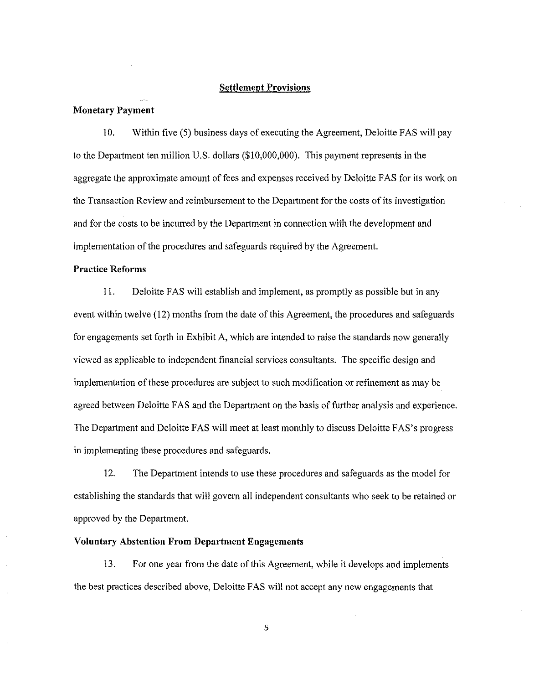#### **Settlement Provisions**

## **Monetary Payment**

10. Within five (5) business days of executing the Agreement, Deloitte FAS will pay to the Department ten million U.S. dollars (\$10,000,000). This payment represents in the aggregate the approximate amount of fees and expenses received by Deloitte FAS for its work on the Transaction Review and reimbursement to the Department for the costs of its investigation and for the costs to be incurred by the Department in connection with the development and implementation of the procedures and safeguards required by the Agreement.

#### **Practice Reforms**

 $\pm$ 

11. Deloitte FAS will establish and implement, as promptly as possible but in any event within twelve (12) months from the date of this Agreement, the procedures and safeguards for engagements set forth in Exhibit A, which are intended to raise the standards now generally viewed as applicable to independent financial services consultants. The specific design and implementation of these procedures are subject to such modification or refinement as may be agreed between Deloitte F AS and the Department on the basis of further analysis and experience. The Department and Deloitte FAS will meet at least monthly to discuss Deloitte FAS's progress in implementing these procedures and safeguards.

12. The Department intends to use these procedures and safeguards as the model for establishing the standards that will govern all independent consultants who seek to be retained or approved by the Department.

# **Voluntary Abstention From Department Engagements**

13. For one year from the date of this Agreement, while it develops and implements the best practices described above, Deloitte FAS will not accept any new engagements that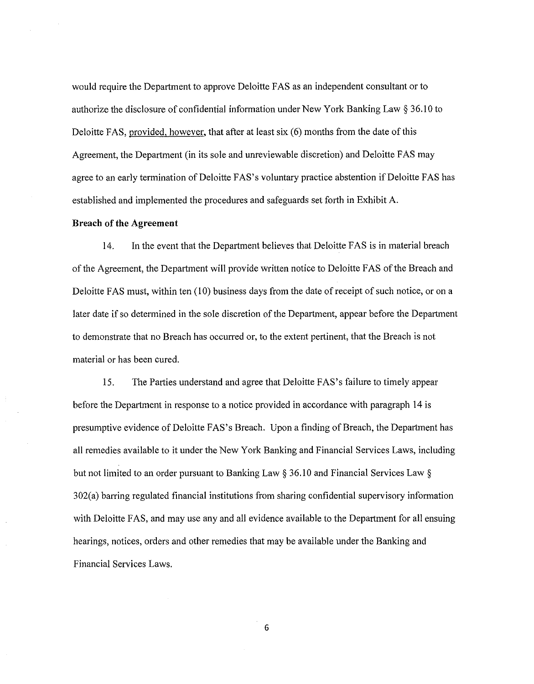would require the Department to approve Deloitte FAS as an independent consultant or to authorize the disclosure of confidential information under New York Banking Law § 36.10 to Deloitte FAS, provided, however, that after at least six (6) months from the date of this Agreement, the Department (in its sole and unreviewable discretion) and Deloitte FAS may agree to an early termination of Deloitte FAS's voluntary practice abstention if Deloitte FAS has established and implemented the procedures and safeguards set forth in Exhibit A.

### **Breach of the Agreement**

14. In the event that the Department believes that Deloitte FAS is in material breach of the Agreement, the Department will provide written notice to Deloitte FAS of the Breach and Deloitte FAS must, within ten (10) business days from the date of receipt of such notice, or on a later date if so determined in the sole discretion of the Department, appear before the Department to demonstrate that no Breach has occurred or, to the extent pertinent, that the Breach is not material or has been cured.

15. The Parties understand and agree that Deloitte FAS's failure to timely appear before the Department in response to a notice provided in accordance with paragraph 14 is presumptive evidence of Deloitte FAS's Breach. Upon a finding of Breach, the Department has all remedies available to it under the New York Banking and Financial Services Laws, including but not limited to an order pursuant to Banking Law § 36.10 and Financial Services Law § 302(a) barring regulated financial institutions from sharing confidential supervisory information with Deloitte FAS, and may use any and all evidence available to the Department for all ensuing hearings, notices, orders and other remedies that may be available under the Banking and Financial Services Laws.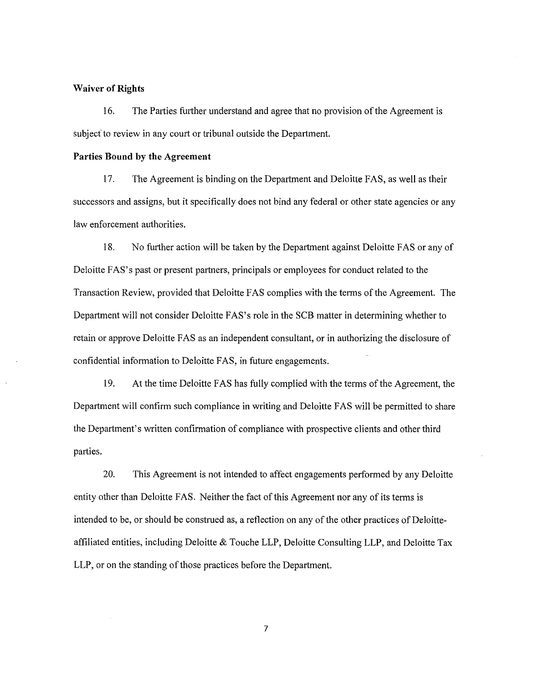### Waiver of Rights

16. The Parties further understand and agree that no provision of the Agreement is subject to review in any court or tribunal outside the Department.

#### Parties Bound by the Agreement

17. The Agreement is binding on the Department and Deloitte FAS, as well as their successors and assigns, but it specifically does not bind any federal or other state agencies or any law enforcement authorities.

18. No further action will be taken by the Department against Deloitte FAS or any of Deloitte FAS's past or present partners, principals or employees for conduct related to the Transaction Review, provided that Deloitte FAS complies with the terms of the Agreement. The Department will not consider Deloitte FAS's role in the SCB matter in determining whether to retain or approve Deloitte FAS as an independent consultant, or in authorizing the disclosure of confidential information to Deloitte FAS, in future engagements.

19. At the time Deloitte FAS has fully complied with the terms of the Agreement, the Department will confirm such compliance in writing and Deloitte FAS will be permitted to share the Department's written confirmation of compliance with prospective clients and other third parties.

20. This Agreement is not intended to affect engagements performed by any Deloitte entity other than Deloitte FAS. Neither the fact of this Agreement nor any of its terms is intended to be, or should be construed as, a reflection on any of the other practices of Deloitteaffiliated entities, including Deloitte & Touche LLP, Deloitte Consulting LLP, and Deloitte Tax LLP, or on the standing of those practices before the Department.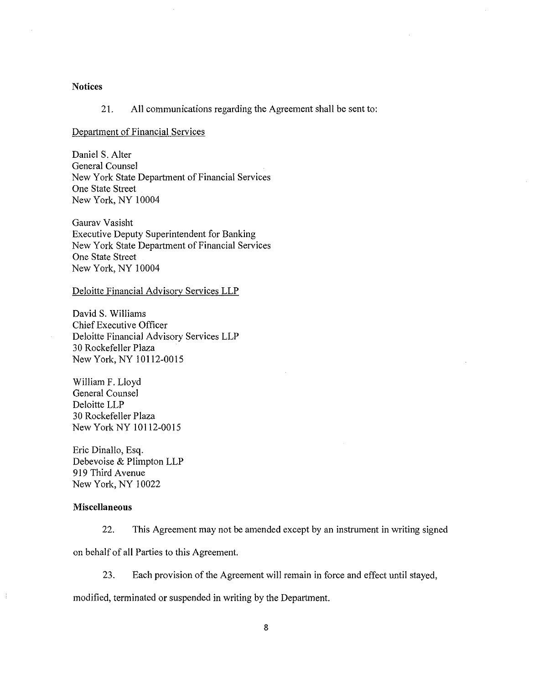# **Notices**

21. All communications regarding the Agreement shall be sent to:

#### Department of Financial Services

Daniel S. Alter General Counsel New York State Department of Financial Services One State Street New York, NY 10004

Gaurav Vasisht Executive Deputy Superintendent for Banking New York State Department of Financial Services One State Street New York, NY 10004

### Deloitte Financial Advisory Services LLP

David S. Williams Chief Executive Officer Deloitte Financial Advisory Services LLP 30 Rockefeller Plaza New York, NY 10112-0015

William F. Lloyd General Counsel Deloitte LLP 30 Rockefeller Plaza New York NY 10112-0015

Eric Dinallo, Esq. Debevoise & Plimpton LLP 919 Third Avenue New York, NY 10022

### **Miscellaneous**

22. This Agreement may not be amended except by an instrument in writing signed

on behalf of all Parties to this Agreement.

23. Each provision of the Agreement will remain in force and effect until stayed,

modified, terminated or suspended in writing by the Department.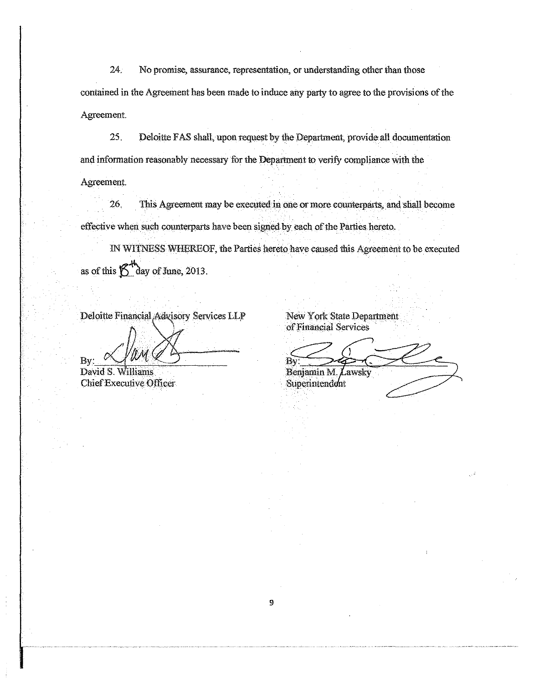24. No promise, assurance, representation, or understanding other than those contained in the Agreement has been made to induce any party to agree to the provisions of the Agreement.

25. Deloitte FAS shall, upon request by the Department, provide all documentation and information reasonably necessary for the Department to verify compliance with the Agreement.

26. This Agreement may be executed in one or more counterparts, and shall become effective when such counterparts have been signed by each of the Parties hereto.

IN WITNESS WHEREOF, the Parties hereto have caused this Agreement to be executed as of this  $\mathcal{L}$  day of June, 2013.

Deloitte Financial Advisory Services LLP

David S. Williams Chief Executive Officer

By

New York State Department of Financial Services

Benjamin M. awsky

Superintendent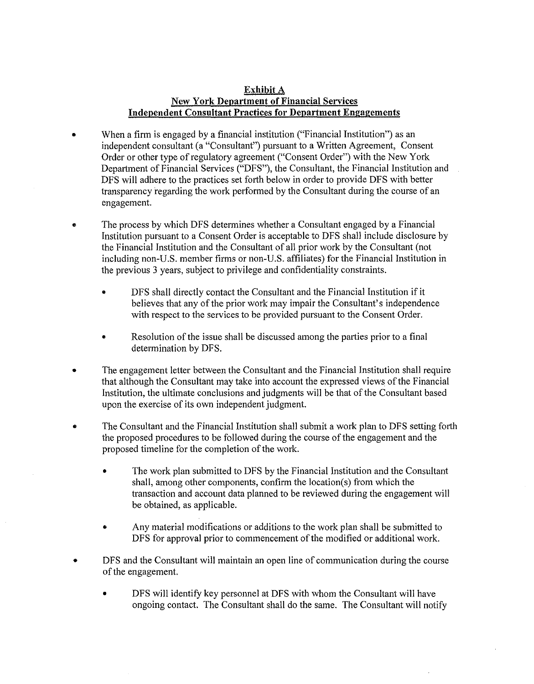# **Exhibit A New York Department of Financial Services Independent Consultant Practices for Department Engagements**

- When a firm is engaged by a financial institution ("Financial Institution") as an independent consultant (a "Consultant") pursuant to a Written Agreement, Consent Order or other type of regulatory agreement ("Consent Order") with the New York Department of Financial Services ("DFS"), the Consultant, the Financial Institution and DFS will adhere to the practices set forth below in order to provide DFS with better transparency regarding the work performed by the Consultant during the course of an engagement.
- The process by which DFS determines whether a Consultant engaged by a Financial Institution pursuant to a Consent Order is acceptable to DFS shall include disclosure by the Financial Institution and the Consultant of all prior work by the Consultant (not including non-U.S. member firms or non-U.S. affiliates) for the Financial Institution in the previous 3 years, subject to privilege and confidentiality constraints.
	- DFS shall directly contact the Consultant and the Financial Institution if it believes that any of the prior work may impair the Consultant's independence with respect to the services to be provided pursuant to the Consent Order.
	- Resolution of the issue shall be discussed among the parties prior to a final determination by DFS.
- The engagement letter between the Consultant and the Financial Institution shall require that although the Consultant may take into account the expressed views of the Financial Institution, the ultimate conclusions and judgments will be that of the Consultant based upon the exercise of its own independent judgment.
- The Consultant and the Financial Institution shall submit a work plan to DFS setting forth the proposed procedures to be followed during the course of the engagement and the proposed timeline for the completion of the work.
	- The work plan submitted to DFS by the Financial Institution and the Consultant shall, among other components, confirm the location(s) from which the transaction and account data planned to be reviewed during the engagement will be obtained, as applicable.
	- Any material modifications or additions to the work plan shall be submitted to DFS for approval prior to commencement of the modified or additional work.
- DFS and the Consultant will maintain an open line of communication during the course of the engagement.
	- DFS will identify key personnel at DFS with whom the Consultant will have ongoing contact. The Consultant shall do the same. The Consultant will notify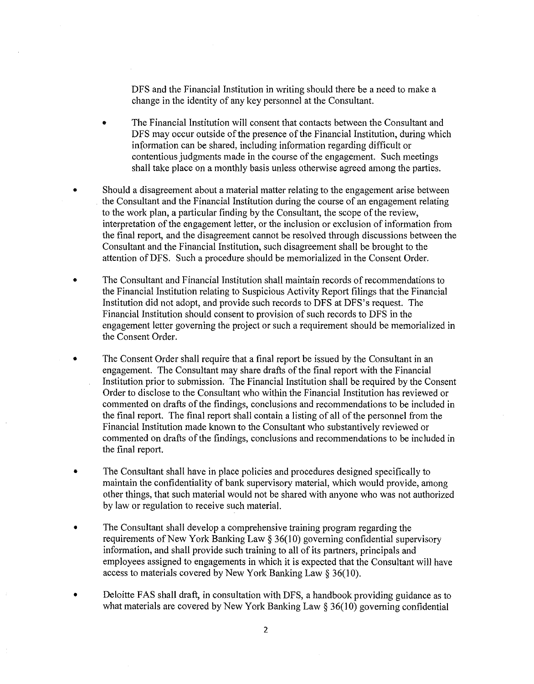DFS and the Financial Institution in writing should there be a need to make a change in the identity of any key personnel at the Consultant.

- The Financial Institution will consent that contacts between the Consultant and DFS may occur outside of the presence of the Financial Institution, during which information can be shared, including information regarding difficult or contentious judgments made in the course of the engagement. Such meetings shall take place on a monthly basis unless otherwise agreed among the parties.
- Should a disagreement about a material matter relating to the engagement arise between the Consultant and the Financial Institution during the course of an engagement relating to the work plan, a particular finding by the Consultant, the scope of the review, interpretation of the engagement letter, or the inclusion or exclusion of information from the final report, and the disagreement cannot be resolved through discussions between the Consultant and the Financial Institution, such disagreement shall be brought to the attention of DFS. Such a procedure should be memorialized in the Consent Order.
- The Consultant and Financial Institution shall maintain records of recommendations to the Financial Institution relating to Suspicious Activity Report filings that the Financial Institution did not adopt, and provide such records to DFS at DFS's request. The Financial Institution should consent to provision of such records to DFS in the engagement letter governing the project or such a requirement should be memorialized in the Consent Order.
- The Consent Order shall require that a final report be issued by the Consultant in an engagement. The Consultant may share drafts of the final report with the Financial Institution prior to submission. The Financial Institution shall be required by the Consent Order to disclose to the Consultant who within the Financial Institution has reviewed or commented on drafts of the findings, conclusions and recommendations to be included in the final report. The final report shall contain a listing of all of the personnel from the Financial Institution made known to the Consultant who substantively reviewed or commented on drafts of the findings, conclusions and recommendations to be included in the final report.
- The Consultant shall have in place policies and procedures designed specifically to maintain the confidentiality of bank supervisory material, which would provide, among other things, that such material would not be shared with anyone who was not authorized by law or regulation to receive such material.
- The Consultant shall develop a comprehensive training program regarding the requirements of New York Banking Law  $\S 36(10)$  governing confidential supervisory information, and shall provide such training to all of its partners, principals and employees assigned to engagements in which it is expected that the Consultant will have access to materials covered by New York Banking Law§ 36(10).
- Deloitte FAS shall draft, in consultation with DFS, a handbook providing guidance as to what materials are covered by New York Banking Law  $\S 36(10)$  governing confidential